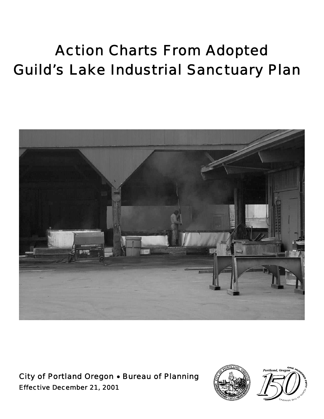# Action Charts From Adopted Guild's Lake Industrial Sanctuary Plan



City of Portland Oregon • Bureau of Planning Effective December 21, 2001



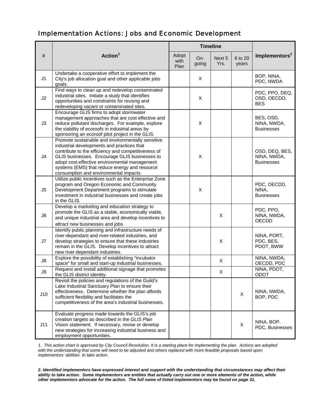### Implementation Actions: Jobs and Economic Development

|                | Action <sup>1</sup>                                                                                                                                                                                                                                                                                                                                 | <b>Timeline</b>       |              |                |                  |                                                    |
|----------------|-----------------------------------------------------------------------------------------------------------------------------------------------------------------------------------------------------------------------------------------------------------------------------------------------------------------------------------------------------|-----------------------|--------------|----------------|------------------|----------------------------------------------------|
| #              |                                                                                                                                                                                                                                                                                                                                                     | Adopt<br>with<br>Plan | On-<br>going | Next 5<br>Yrs. | 6 to 20<br>years | Implementors <sup>2</sup>                          |
| J <sub>1</sub> | Undertake a cooperative effort to implement the<br>City's job allocation goal and other applicable jobs<br>goals.                                                                                                                                                                                                                                   |                       | X            |                |                  | BOP, NINA,<br>PDC, NWDA                            |
| J2             | Find ways to clean up and redevelop contaminated<br>industrial sites. Initiate a study that identifies<br>opportunities and constraints for reusing and<br>redeveloping vacant or contaminated sites.                                                                                                                                               |                       | X            |                |                  | PDC, PPO, DEQ,<br>OSD, OECDD,<br><b>BES</b>        |
| J3             | Encourage GLIS firms to adopt stormwater<br>management approaches that are cost effective and<br>reduce pollutant discharges. For example, explore<br>the viability of ecoroofs in industrial areas by<br>sponsoring an ecoroof pilot project in the GLIS.                                                                                          |                       | X            |                |                  | BES, OSD,<br>NINA, NWDA,<br><b>Businesses</b>      |
| J4             | Promote sustainable and environmentally sensitive<br>industrial developments and practices that<br>contribute to the efficiency and competitiveness of<br>GLIS businesses. Encourage GLIS businesses to<br>adopt cost-effective environmental management<br>systems (EMS) that reduce energy and resource<br>consumption and environmental impacts. |                       | X            |                |                  | OSD, DEQ, BES,<br>NINA, NWDA,<br><b>Businesses</b> |
| J <sub>5</sub> | Utilize public incentives such as the Enterprise Zone<br>program and Oregon Economic and Community<br>Development Department programs to stimulate<br>investment in industrial businesses and create jobs<br>in the GLIS.                                                                                                                           |                       | X            |                |                  | PDC, OECDD,<br>NINA,<br><b>Businesses</b>          |
| J <sub>6</sub> | Develop a marketing and education strategy to<br>promote the GLIS as a stable, economically viable,<br>and unique industrial area and develop incentives to<br>attract new businesses and jobs.                                                                                                                                                     |                       |              | X              |                  | PDC, PPO,<br>NINA, NWDA,<br><b>OECDD</b>           |
| J7             | Identify public planning and infrastructure needs of<br>river-dependant and river-related industries, and<br>develop strategies to ensure that these industries<br>remain in the GLIS. Develop incentives to attract<br>new river-dependant industries.                                                                                             |                       |              | X              |                  | NINA, PORT,<br>PDC, BES,<br>PDOT, BWW              |
| J8             | Explore the possibility of establishing "incubator<br>space" for small and start-up industrial businesses.                                                                                                                                                                                                                                          |                       |              | X              |                  | NINA, NWDA,<br>OECDD, PDC                          |
| J9             | Request and install additional signage that promotes<br>the GLIS district identity.                                                                                                                                                                                                                                                                 |                       |              | X              |                  | NINA, PDOT,<br>ODOT                                |
| J10            | Revisit the policies and regulations of the Guild's<br>Lake Industrial Sanctuary Plan to ensure their<br>effectiveness. Determine whether the plan affords<br>sufficient flexibility and facilitates the<br>competitiveness of the area's industrial businesses.                                                                                    |                       |              |                | $\pmb{\times}$   | NINA, NWDA,<br>BOP, PDC                            |
| J11            | Evaluate progress made towards the GLIS's job<br>creation targets as described in the GLIS Plan<br>Vision statement. If necessary, revise or develop<br>new strategies for increasing industrial business and<br>employment opportunities.                                                                                                          |                       |              |                | X                | NINA, BOP,<br>PDC, Businesses                      |

*1. This action chart is approved by City Council Resolution. It is a starting place for implementing the plan. Actions are adopted with the understanding that some will need to be adjusted and others replaced with more feasible proposals based upon implementors' abilities to take action.*

*2. Identified implementors have expressed interest and support with the understanding that circumstances may affect their* ability to take action. Some implementors are entities that actually carry out one or more elements of the action, while *other implementors advocate for the action. The full name of listed implementors may be found on page 31.*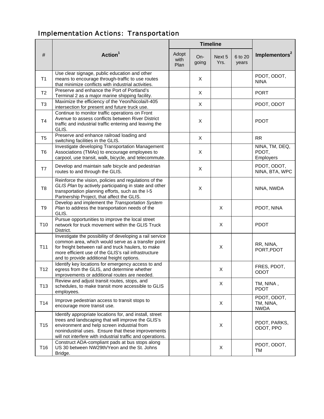## Implementation Actions: Transportation

|                 |                                                                                                                                                                                                                                                                                  | <b>Timeline</b>       |              |                |                  |                                         |
|-----------------|----------------------------------------------------------------------------------------------------------------------------------------------------------------------------------------------------------------------------------------------------------------------------------|-----------------------|--------------|----------------|------------------|-----------------------------------------|
| #               | Action <sup>1</sup>                                                                                                                                                                                                                                                              | Adopt<br>with<br>Plan | On-<br>going | Next 5<br>Yrs. | 6 to 20<br>years | Implementors <sup>2</sup>               |
| T1              | Use clear signage, public education and other<br>means to encourage through-traffic to use routes<br>that minimize conflicts with industrial activities.                                                                                                                         |                       | X            |                |                  | PDOT, ODOT,<br><b>NINA</b>              |
| T <sub>2</sub>  | Preserve and enhance the Port of Portland's<br>Terminal 2 as a major marine shipping facility.                                                                                                                                                                                   |                       | X            |                |                  | <b>PORT</b>                             |
| T <sub>3</sub>  | Maximize the efficiency of the Yeon/Nicolai/I-405<br>intersection for present and future truck use.                                                                                                                                                                              |                       | X            |                |                  | PDOT, ODOT                              |
| <b>T4</b>       | Continue to monitor traffic operations on Front<br>Avenue to assess conflicts between River District<br>traffic and industrial traffic entering and leaving the<br>GLIS.                                                                                                         |                       | $\mathsf X$  |                |                  | <b>PDOT</b>                             |
| T <sub>5</sub>  | Preserve and enhance railroad loading and<br>switching facilities in the GLIS.                                                                                                                                                                                                   |                       | X            |                |                  | <b>RR</b>                               |
| T <sub>6</sub>  | Investigate developing Transportation Management<br>Associations (TMAs) to encourage employees to<br>carpool, use transit, walk, bicycle, and telecommute.                                                                                                                       |                       | X            |                |                  | NINA, TM, DEQ,<br>PDOT,<br>Employers    |
| T7              | Develop and maintain safe bicycle and pedestrian<br>routes to and through the GLIS.                                                                                                                                                                                              |                       | $\mathsf{X}$ |                |                  | PDOT, ODOT,<br>NINA, BTA, WPC           |
| T <sub>8</sub>  | Reinforce the vision, policies and regulations of the<br>GLIS Plan by actively participating in state and other<br>transportation planning efforts, such as the I-5<br>Partnership Project, that affect the GLIS.                                                                |                       | X            |                |                  | NINA, NWDA                              |
| T <sub>9</sub>  | Develop and implement the Transportation System<br>Plan to address the transportation needs of the<br>GLIS.                                                                                                                                                                      |                       |              | X              |                  | PDOT, NINA                              |
| T <sub>10</sub> | Pursue opportunities to improve the local street<br>network for truck movement within the GLIS Truck<br>District.                                                                                                                                                                |                       |              | X              |                  | <b>PDOT</b>                             |
| T11             | Investigate the possibility of developing a rail service<br>common area, which would serve as a transfer point<br>for freight between rail and truck haulers, to make<br>more efficient use of the GLIS's rail infrastructure<br>and to provide additional freight options.      |                       |              | X              |                  | RR, NINA,<br>PORT, PDOT                 |
| T <sub>12</sub> | Identify key locations for emergency access to and<br>egress from the GLIS, and determine whether<br>improvements or additional routes are needed.                                                                                                                               |                       |              | X              |                  | FRES, PDOT,<br><b>ODOT</b>              |
| T <sub>13</sub> | Review and adjust transit routes, stops, and<br>schedules, to make transit more accessible to GLIS<br>employees.                                                                                                                                                                 |                       |              | X              |                  | TM, NINA,<br><b>PDOT</b>                |
| T <sub>14</sub> | Improve pedestrian access to transit stops to<br>encourage more transit use.                                                                                                                                                                                                     |                       |              | X              |                  | PDOT, ODOT,<br>TM, NINA,<br><b>NWDA</b> |
| T <sub>15</sub> | Identify appropriate locations for, and install, street<br>trees and landscaping that will improve the GLIS's<br>environment and help screen industrial from<br>nonindustrial uses. Ensure that these improvements<br>will not interfere with industrial traffic and operations. |                       |              | X              |                  | PDOT, PARKS,<br>ODOT, PPO               |
| T <sub>16</sub> | Construct ADA-compliant pads at bus stops along<br>US 30 between NW29th/Yeon and the St. Johns<br>Bridge.                                                                                                                                                                        |                       |              | X              |                  | PDOT, ODOT,<br>TM                       |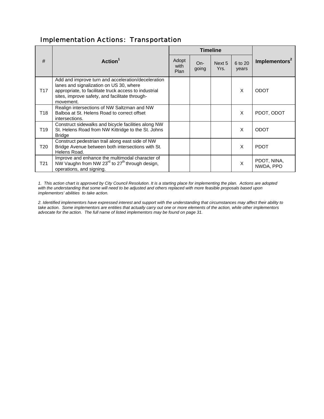#### Implementation Actions: Transportation

|                 |                                                                                                                                                                                                                       |                       | <b>Timeline</b> |                |                  |                           |
|-----------------|-----------------------------------------------------------------------------------------------------------------------------------------------------------------------------------------------------------------------|-----------------------|-----------------|----------------|------------------|---------------------------|
| #               | Action <sup>1</sup>                                                                                                                                                                                                   | Adopt<br>with<br>Plan | $On-$<br>going  | Next 5<br>Yrs. | 6 to 20<br>years | Implementors <sup>2</sup> |
| T <sub>17</sub> | Add and improve turn and acceleration/deceleration<br>lanes and signalization on US 30, where<br>appropriate, to facilitate truck access to industrial<br>sites, improve safety, and facilitate through-<br>movement. |                       |                 |                | X                | <b>ODOT</b>               |
| T <sub>18</sub> | Realign intersections of NW Saltzman and NW<br>Balboa at St. Helens Road to correct offset<br>intersections.                                                                                                          |                       |                 |                | $\times$         | PDOT, ODOT                |
| T19             | Construct sidewalks and bicycle facilities along NW<br>St. Helens Road from NW Kittridge to the St. Johns<br><b>Bridge</b>                                                                                            |                       |                 |                | X                | <b>ODOT</b>               |
| T20             | Construct pedestrian trail along east side of NW<br>Bridge Avenue between both intersections with St.<br>Helens Road.                                                                                                 |                       |                 |                | X                | <b>PDOT</b>               |
| T21             | Improve and enhance the multimodal character of<br>NW Vaughn from NW 23 <sup>rd</sup> to 27 <sup>th</sup> through design,<br>operations, and signing.                                                                 |                       |                 |                | X                | PDOT, NINA,<br>NWDA, PPO  |

*1. This action chart is approved by City Council Resolution. It is a starting place for implementing the plan. Actions are adopted with the understanding that some will need to be adjusted and others replaced with more feasible proposals based upon implementors' abilities to take action.*

*2. Identified implementors have expressed interest and support with the understanding that circumstances may affect their ability to take action. Some implementors are entities that actually carry out one or more elements of the action, while other implementors advocate for the action. The full name of listed implementors may be found on page 31.*